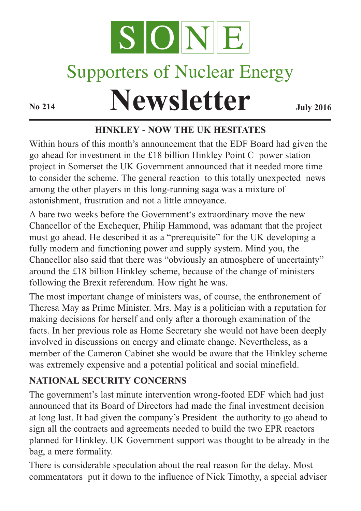

# Supporters of Nuclear Energy

**Newsletter July** 2016

## **HINKLEY - NOW THE UK HESITATES**

Within hours of this month's announcement that the EDF Board had given the go ahead for investment in the £18 billion Hinkley Point C power station project in Somerset the UK Government announced that it needed more time to consider the scheme. The general reaction to this totally unexpected news among the other players in this long-running saga was a mixture of astonishment, frustration and not a little annoyance.

A bare two weeks before the Government's extraordinary move the new Chancellor of the Exchequer, Philip Hammond, was adamant that the project must go ahead. He described it as a "prerequisite" for the UK developing a fully modern and functioning power and supply system. Mind you, the Chancellor also said that there was "obviously an atmosphere of uncertainty" around the £18 billion Hinkley scheme, because of the change of ministers following the Brexit referendum. How right he was.

The most important change of ministers was, of course, the enthronement of Theresa May as Prime Minister. Mrs. May is a politician with a reputation for making decisions for herself and only after a thorough examination of the facts. In her previous role as Home Secretary she would not have been deeply involved in discussions on energy and climate change. Nevertheless, as a member of the Cameron Cabinet she would be aware that the Hinkley scheme was extremely expensive and a potential political and social minefield.

# **NATIONAL SECURITY CONCERNS**

The government's last minute intervention wrong-footed EDF which had just announced that its Board of Directors had made the final investment decision at long last. It had given the company's President the authority to go ahead to sign all the contracts and agreements needed to build the two EPR reactors planned for Hinkley. UK Government support was thought to be already in the bag, a mere formality.

There is considerable speculation about the real reason for the delay. Most commentators put it down to the influence of Nick Timothy, a special adviser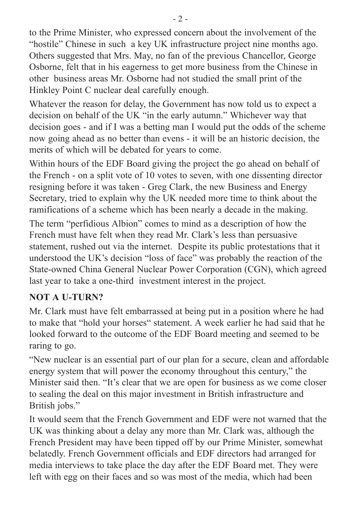to the Prime Minister, who expressed concern about the involvement of the "hostile" Chinese in such a key UK infrastructure project nine months ago. Others suggested that Mrs. May, no fan of the previous Chancellor, George Osborne, felt that in his eagerness to get more business from the Chinese in other business areas Mr. Osborne had not studied the small print of the Hinkley Point C nuclear deal carefully enough.

Whatever the reason for delay, the Government has now told us to expect a decision on behalf of the UK "in the early autumn." Whichever way that decision goes - and if I was a betting man I would put the odds of the scheme now going ahead as no better than evens - it will be an historic decision, the merits of which will be debated for years to come.

Within hours of the EDF Board giving the project the go ahead on behalf of the French - on a split vote of 10 votes to seven, with one dissenting director resigning before it was taken - Greg Clark, the new Business and Energy Secretary, tried to explain why the UK needed more time to think about the ramifications of a scheme which has been nearly a decade in the making.

The term "perfidious Albion" comes to mind as a description of how the French must have felt when they read Mr. Clark's less than persuasive statement, rushed out via the internet. Despite its public protestations that it understood the UK's decision "loss of face" was probably the reaction of the State-owned China General Nuclear Power Corporation (CGN), which agreed last year to take a one-third investment interest in the project.

#### **NOT A U-TURN?**

Mr. Clark must have felt embarrassed at being put in a position where he had to make that "hold your horses" statement. A week earlier he had said that he looked forward to the outcome of the EDF Board meeting and seemed to be raring to go.

"New nuclear is an essential part of our plan for a secure, clean and affordable energy system that will power the economy throughout this century," the Minister said then. "It's clear that we are open for business as we come closer to sealing the deal on this major investment in British infrastructure and British jobs."

It would seem that the French Government and EDF were not warned that the UK was thinking about a delay any more than Mr. Clark was, although the French President may have been tipped off by our Prime Minister, somewhat belatedly. French Government officials and EDF directors had arranged for media interviews to take place the day after the EDF Board met. They were left with egg on their faces and so was most of the media, which had been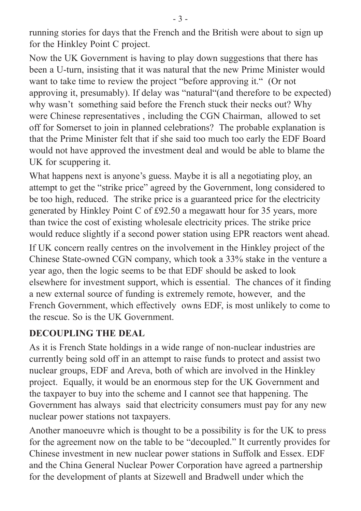running stories for days that the French and the British were about to sign up for the Hinkley Point C project.

Now the UK Government is having to play down suggestions that there has been a U-turn, insisting that it was natural that the new Prime Minister would want to take time to review the project "before approving it." (Or not approving it, presumably). If delay was "natural"(and therefore to be expected) why wasn't something said before the French stuck their necks out? Why were Chinese representatives , including the CGN Chairman, allowed to set off for Somerset to join in planned celebrations? The probable explanation is that the Prime Minister felt that if she said too much too early the EDF Board would not have approved the investment deal and would be able to blame the UK for scuppering it.

What happens next is anyone's guess. Maybe it is all a negotiating ploy, an attempt to get the "strike price" agreed by the Government, long considered to be too high, reduced. The strike price is a guaranteed price for the electricity generated by Hinkley Point C of £92.50 a megawatt hour for 35 years, more than twice the cost of existing wholesale electricity prices. The strike price would reduce slightly if a second power station using EPR reactors went ahead.

If UK concern really centres on the involvement in the Hinkley project of the Chinese State-owned CGN company, which took a 33% stake in the venture a year ago, then the logic seems to be that EDF should be asked to look elsewhere for investment support, which is essential. The chances of it finding a new external source of funding is extremely remote, however, and the French Government, which effectively owns EDF, is most unlikely to come to the rescue. So is the UK Government.

#### **DECOUPLING THE DEAL**

As it is French State holdings in a wide range of non-nuclear industries are currently being sold off in an attempt to raise funds to protect and assist two nuclear groups, EDF and Areva, both of which are involved in the Hinkley project. Equally, it would be an enormous step for the UK Government and the taxpayer to buy into the scheme and I cannot see that happening. The Government has always said that electricity consumers must pay for any new nuclear power stations not taxpayers.

Another manoeuvre which is thought to be a possibility is for the UK to press for the agreement now on the table to be "decoupled." It currently provides for Chinese investment in new nuclear power stations in Suffolk and Essex. EDF and the China General Nuclear Power Corporation have agreed a partnership for the development of plants at Sizewell and Bradwell under which the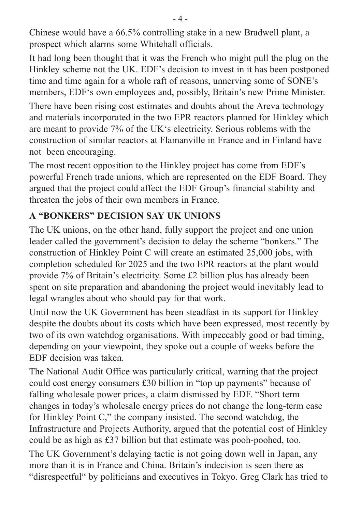Chinese would have a 66.5% controlling stake in a new Bradwell plant, a prospect which alarms some Whitehall officials.

It had long been thought that it was the French who might pull the plug on the Hinkley scheme not the UK. EDF's decision to invest in it has been postponed time and time again for a whole raft of reasons, unnerving some of SONE's members, EDF's own employees and, possibly, Britain's new Prime Minister.

There have been rising cost estimates and doubts about the Areva technology and materials incorporated in the two EPR reactors planned for Hinkley which are meant to provide 7% of the UK's electricity. Serious roblems with the construction of similar reactors at Flamanville in France and in Finland have not been encouraging.

The most recent opposition to the Hinkley project has come from EDF's powerful French trade unions, which are represented on the EDF Board. They argued that the project could affect the EDF Group's financial stability and threaten the jobs of their own members in France.

# **A "BONKERS" DECISION SAY UK UNIONS**

The UK unions, on the other hand, fully support the project and one union leader called the government's decision to delay the scheme "bonkers." The construction of Hinkley Point C will create an estimated 25,000 jobs, with completion scheduled for 2025 and the two EPR reactors at the plant would provide 7% of Britain's electricity. Some £2 billion plus has already been spent on site preparation and abandoning the project would inevitably lead to legal wrangles about who should pay for that work.

Until now the UK Government has been steadfast in its support for Hinkley despite the doubts about its costs which have been expressed, most recently by two of its own watchdog organisations. With impeccably good or bad timing, depending on your viewpoint, they spoke out a couple of weeks before the EDF decision was taken.

The National Audit Office was particularly critical, warning that the project could cost energy consumers £30 billion in "top up payments" because of falling wholesale power prices, a claim dismissed by EDF. "Short term changes in today's wholesale energy prices do not change the long-term case for Hinkley Point C," the company insisted. The second watchdog, the Infrastructure and Projects Authority, argued that the potential cost of Hinkley could be as high as £37 billion but that estimate was pooh-poohed, too.

The UK Government's delaying tactic is not going down well in Japan, any more than it is in France and China. Britain's indecision is seen there as "disrespectful" by politicians and executives in Tokyo. Greg Clark has tried to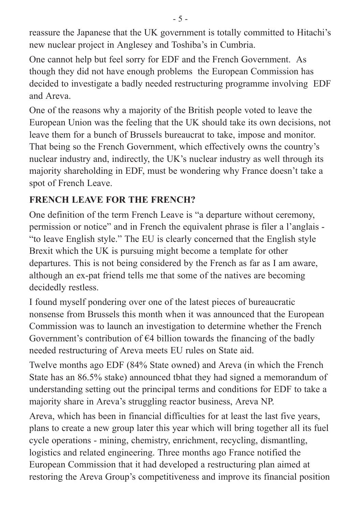reassure the Japanese that the UK government is totally committed to Hitachi's new nuclear project in Anglesey and Toshiba's in Cumbria.

One cannot help but feel sorry for EDF and the French Government. As though they did not have enough problems the European Commission has decided to investigate a badly needed restructuring programme involving EDF and Areva.

One of the reasons why a majority of the British people voted to leave the European Union was the feeling that the UK should take its own decisions, not leave them for a bunch of Brussels bureaucrat to take, impose and monitor. That being so the French Government, which effectively owns the country's nuclear industry and, indirectly, the UK's nuclear industry as well through its majority shareholding in EDF, must be wondering why France doesn't take a spot of French Leave.

#### **FRENCH LEAVE FOR THE FRENCH?**

One definition of the term French Leave is "a departure without ceremony, permission or notice" and in French the equivalent phrase is filer a l'anglais - "to leave English style." The EU is clearly concerned that the English style Brexit which the UK is pursuing might become a template for other departures. This is not being considered by the French as far as I am aware, although an ex-pat friend tells me that some of the natives are becoming decidedly restless.

I found myself pondering over one of the latest pieces of bureaucratic nonsense from Brussels this month when it was announced that the European Commission was to launch an investigation to determine whether the French Government's contribution of  $\epsilon$ 4 billion towards the financing of the badly needed restructuring of Areva meets EU rules on State aid.

Twelve months ago EDF (84% State owned) and Areva (in which the French State has an 86.5% stake) announced tbhat they had signed a memorandum of understanding setting out the principal terms and conditions for EDF to take a majority share in Areva's struggling reactor business, Areva NP.

Areva, which has been in financial difficulties for at least the last five years, plans to create a new group later this year which will bring together all its fuel cycle operations - mining, chemistry, enrichment, recycling, dismantling, logistics and related engineering. Three months ago France notified the European Commission that it had developed a restructuring plan aimed at restoring the Areva Group's competitiveness and improve its financial position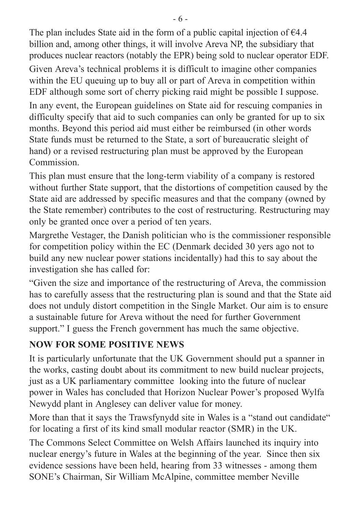The plan includes State aid in the form of a public capital injection of  $\epsilon$ 4.4 billion and, among other things, it will involve Areva NP, the subsidiary that produces nuclear reactors (notably the EPR) being sold to nuclear operator EDF.

Given Areva's technical problems it is difficult to imagine other companies within the EU queuing up to buy all or part of Areva in competition within EDF although some sort of cherry picking raid might be possible I suppose.

In any event, the European guidelines on State aid for rescuing companies in difficulty specify that aid to such companies can only be granted for up to six months. Beyond this period aid must either be reimbursed (in other words State funds must be returned to the State, a sort of bureaucratic sleight of hand) or a revised restructuring plan must be approved by the European **Commission** 

This plan must ensure that the long-term viability of a company is restored without further State support, that the distortions of competition caused by the State aid are addressed by specific measures and that the company (owned by the State remember) contributes to the cost of restructuring. Restructuring may only be granted once over a period of ten years.

Margrethe Vestager, the Danish politician who is the commissioner responsible for competition policy within the EC (Denmark decided 30 yers ago not to build any new nuclear power stations incidentally) had this to say about the investigation she has called for:

"Given the size and importance of the restructuring of Areva, the commission has to carefully assess that the restructuring plan is sound and that the State aid does not unduly distort competition in the Single Market. Our aim is to ensure a sustainable future for Areva without the need for further Government support." I guess the French government has much the same objective.

### **NOW FOR SOME POSITIVE NEWS**

It is particularly unfortunate that the UK Government should put a spanner in the works, casting doubt about its commitment to new build nuclear projects, just as a UK parliamentary committee looking into the future of nuclear power in Wales has concluded that Horizon Nuclear Power's proposed Wylfa Newydd plant in Anglesey can deliver value for money.

More than that it says the Trawsfynydd site in Wales is a "stand out candidate" for locating a first of its kind small modular reactor (SMR) in the UK.

The Commons Select Committee on Welsh Affairs launched its inquiry into nuclear energy's future in Wales at the beginning of the year. Since then six evidence sessions have been held, hearing from 33 witnesses - among them SONE's Chairman, Sir William McAlpine, committee member Neville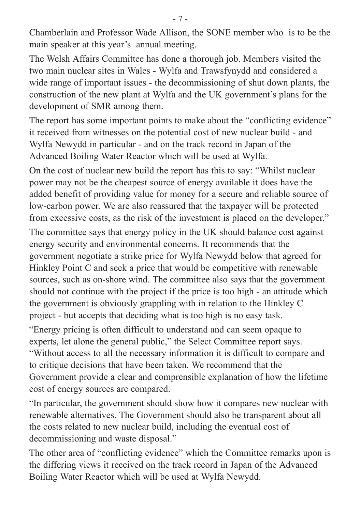Chamberlain and Professor Wade Allison, the SONE member who is to be the main speaker at this year's annual meeting.

The Welsh Affairs Committee has done a thorough job. Members visited the two main nuclear sites in Wales - Wylfa and Trawsfynydd and considered a wide range of important issues - the decommissioning of shut down plants, the construction of the new plant at Wylfa and the UK government's plans for the development of SMR among them.

The report has some important points to make about the "conflicting evidence" it received from witnesses on the potential cost of new nuclear build - and Wylfa Newydd in particular - and on the track record in Japan of the Advanced Boiling Water Reactor which will be used at Wylfa.

On the cost of nuclear new build the report has this to say: "Whilst nuclear power may not be the cheapest source of energy available it does have the added benefit of providing value for money for a secure and reliable source of low-carbon power. We are also reassured that the taxpayer will be protected from excessive costs, as the risk of the investment is placed on the developer."

The committee says that energy policy in the UK should balance cost against energy security and environmental concerns. It recommends that the government negotiate a strike price for Wylfa Newydd below that agreed for Hinkley Point C and seek a price that would be competitive with renewable sources, such as on-shore wind. The committee also says that the government should not continue with the project if the price is too high - an attitude which the government is obviously grappling with in relation to the Hinkley C project - but accepts that deciding what is too high is no easy task.

"Energy pricing is often difficult to understand and can seem opaque to experts, let alone the general public," the Select Committee report says. "Without access to all the necessary information it is difficult to compare and to critique decisions that have been taken. We recommend that the Government provide a clear and comprensible explanation of how the lifetime cost of energy sources are compared.

"In particular, the government should show how it compares new nuclear with renewable alternatives. The Government should also be transparent about all the costs related to new nuclear build, including the eventual cost of decommissioning and waste disposal."

The other area of "conflicting evidence" which the Committee remarks upon is the differing views it received on the track record in Japan of the Advanced Boiling Water Reactor which will be used at Wylfa Newydd.